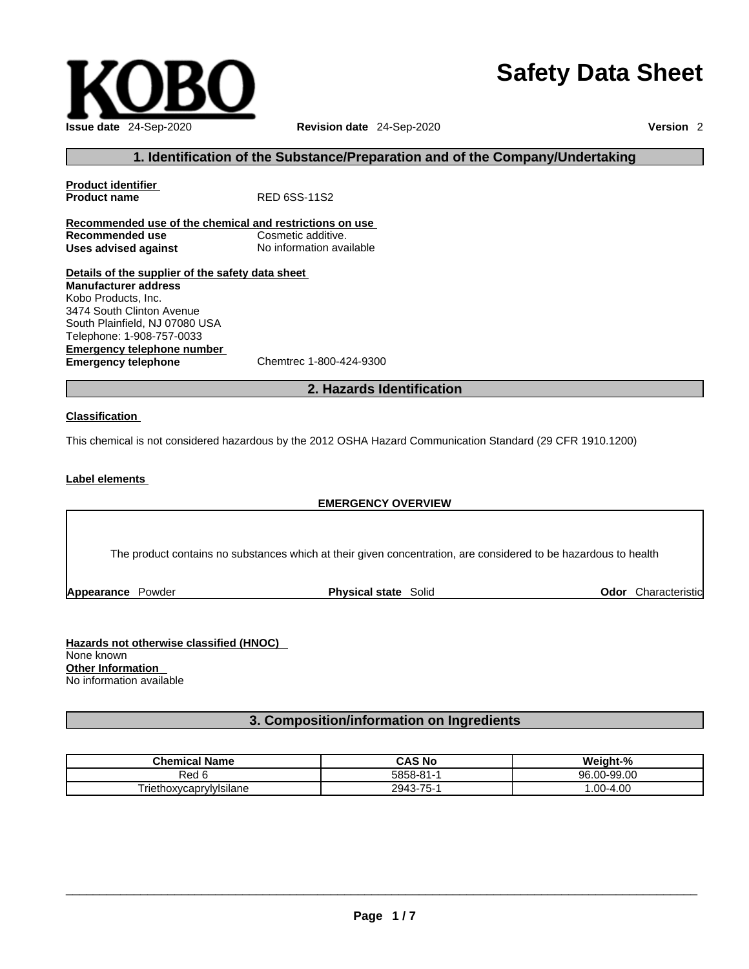# **Safety Data Sheet**



#### **1. Identification of the Substance/Preparation and of the Company/Undertaking**

**Product identifier Product name** RED 6SS-11S2 **Recommended use of the chemical and restrictions on use Recommended use**<br> **Uses advised against**<br> **Uses advised against**<br> **No information available Uses** advised against **Details of the supplier of the safety data sheet Emergency telephone number**<br> **Emergency telephone**<br>
Chemtrec 1-800-424-9300 **Emergency telephone Manufacturer address** Kobo Products, Inc. 3474 South Clinton Avenue South Plainfield, NJ 07080 USA Telephone: 1-908-757-0033

**2. Hazards Identification** 

#### **Classification**

This chemical is not considered hazardous by the 2012 OSHA Hazard Communication Standard (29 CFR 1910.1200)

#### **Label elements**

#### **EMERGENCY OVERVIEW**

The product contains no substances which at their given concentration, are considered to be hazardous to health

**Appearance Powder <b>Physical state** Solid

**Odor** Characteristic

**Hazards not otherwise classified (HNOC)**  None known **Other Information**  No information available

#### **3. Composition/information on Ingredients**

| <b>Chemical</b><br>.<br><b>Name</b>    | CAS No      | Weight-%                       |
|----------------------------------------|-------------|--------------------------------|
| Red u                                  | 5858-81-    | 0-99.00<br>96<br>$\sim$<br>.uu |
| --<br><br>hoxvcaprvlvisilane:<br>rieth | 75-<br>2943 | .00-4.00                       |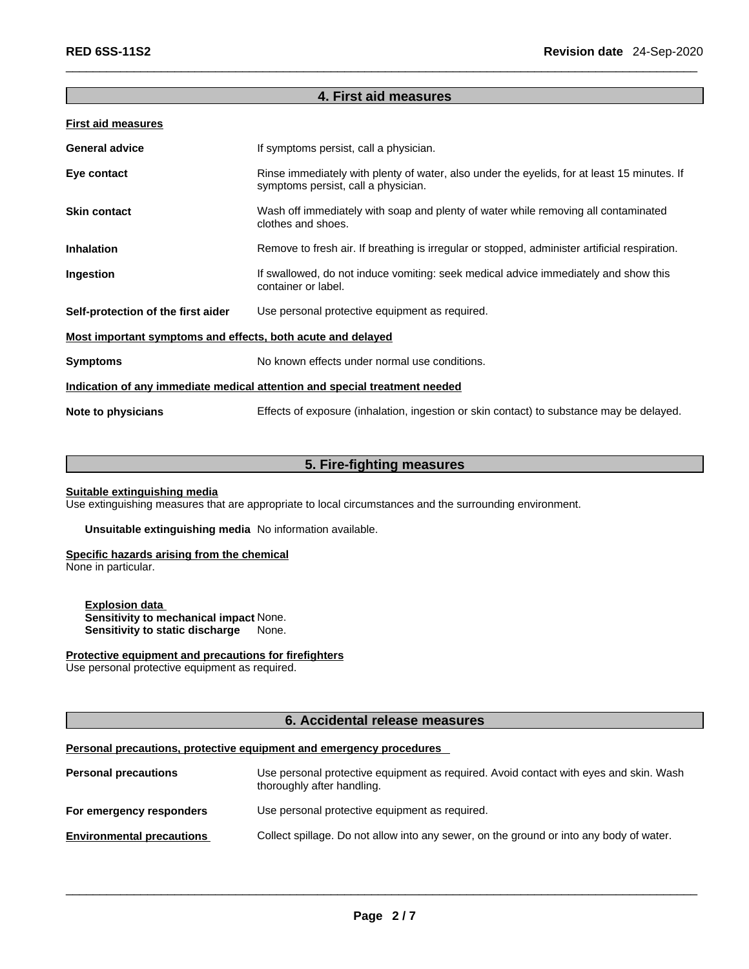#### **4. First aid measures**

#### **First aid measures**

| <b>General advice</b>                                                      | If symptoms persist, call a physician.                                                                                             |  |  |
|----------------------------------------------------------------------------|------------------------------------------------------------------------------------------------------------------------------------|--|--|
| Eye contact                                                                | Rinse immediately with plenty of water, also under the eyelids, for at least 15 minutes. If<br>symptoms persist, call a physician. |  |  |
| <b>Skin contact</b>                                                        | Wash off immediately with soap and plenty of water while removing all contaminated<br>clothes and shoes.                           |  |  |
| <b>Inhalation</b>                                                          | Remove to fresh air. If breathing is irregular or stopped, administer artificial respiration.                                      |  |  |
| Ingestion                                                                  | If swallowed, do not induce vomiting: seek medical advice immediately and show this<br>container or label.                         |  |  |
| Self-protection of the first aider                                         | Use personal protective equipment as required.                                                                                     |  |  |
| Most important symptoms and effects, both acute and delayed                |                                                                                                                                    |  |  |
| <b>Symptoms</b>                                                            | No known effects under normal use conditions.                                                                                      |  |  |
| Indication of any immediate medical attention and special treatment needed |                                                                                                                                    |  |  |
| Note to physicians                                                         | Effects of exposure (inhalation, ingestion or skin contact) to substance may be delayed.                                           |  |  |

# **5. Fire-fighting measures**

#### **Suitable extinguishing media**

Use extinguishing measures that are appropriate to local circumstances and the surrounding environment.

**Unsuitable extinguishing media** No information available.

#### **Specific hazards arising from the chemical** None in particular.

**Explosion data Sensitivity to mechanical impact** None. **Sensitivity to static discharge** None.

#### **Protective equipment and precautions for firefighters**

Use personal protective equipment as required.

#### **6. Accidental release measures**

#### **Personal precautions, protective equipment and emergency procedures**

| <b>Personal precautions</b>      | Use personal protective equipment as required. Avoid contact with eyes and skin. Wash<br>thoroughly after handling. |
|----------------------------------|---------------------------------------------------------------------------------------------------------------------|
| For emergency responders         | Use personal protective equipment as required.                                                                      |
| <b>Environmental precautions</b> | Collect spillage. Do not allow into any sewer, on the ground or into any body of water.                             |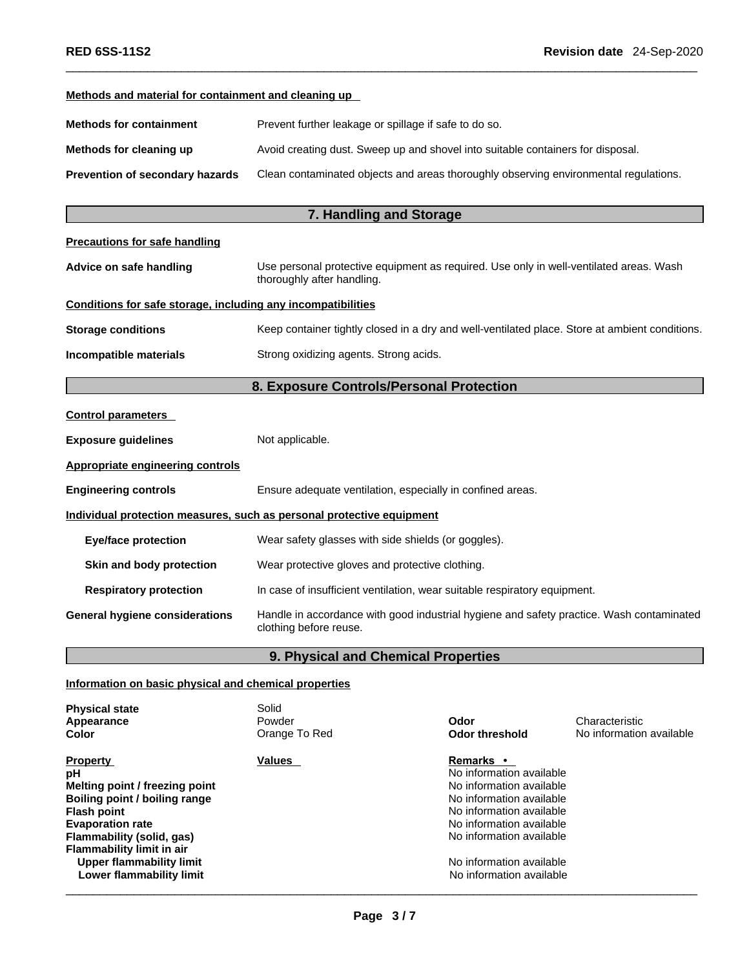| Methods and material for containment and cleaning up         |                                                                                                                      |
|--------------------------------------------------------------|----------------------------------------------------------------------------------------------------------------------|
| <b>Methods for containment</b>                               | Prevent further leakage or spillage if safe to do so.                                                                |
| Methods for cleaning up                                      | Avoid creating dust. Sweep up and shovel into suitable containers for disposal.                                      |
| Prevention of secondary hazards                              | Clean contaminated objects and areas thoroughly observing environmental regulations.                                 |
|                                                              | 7. Handling and Storage                                                                                              |
| <b>Precautions for safe handling</b>                         |                                                                                                                      |
| Advice on safe handling                                      | Use personal protective equipment as required. Use only in well-ventilated areas. Wash<br>thoroughly after handling. |
| Conditions for safe storage, including any incompatibilities |                                                                                                                      |
| <b>Storage conditions</b>                                    | Keep container tightly closed in a dry and well-ventilated place. Store at ambient conditions.                       |
| Incompatible materials                                       | Strong oxidizing agents. Strong acids.                                                                               |
|                                                              | 8. Exposure Controls/Personal Protection                                                                             |
| <b>Control parameters</b>                                    |                                                                                                                      |
| <b>Exposure guidelines</b>                                   | Not applicable.                                                                                                      |
| <b>Appropriate engineering controls</b>                      |                                                                                                                      |
| <b>Engineering controls</b>                                  | Ensure adequate ventilation, especially in confined areas.                                                           |
|                                                              | Individual protection measures, such as personal protective equipment                                                |
| <b>Eye/face protection</b>                                   | Wear safety glasses with side shields (or goggles).                                                                  |
| Skin and body protection                                     | Wear protective gloves and protective clothing.                                                                      |
| <b>Respiratory protection</b>                                | In case of insufficient ventilation, wear suitable respiratory equipment.                                            |
| <b>General hygiene considerations</b>                        | Handle in accordance with good industrial hygiene and safety practice. Wash contaminated<br>clothing before reuse.   |
|                                                              | 9. Physical and Chemical Properties                                                                                  |

# **Information on basic physical and chemical properties**

| <b>Physical state</b><br>Appearance<br>Color                                                                                                                                                                                                                       | Solid<br>Powder<br>Orange To Red | Odor<br>Odor threshold                                                                                                                                                                                                                    | Characteristic<br>No information available |
|--------------------------------------------------------------------------------------------------------------------------------------------------------------------------------------------------------------------------------------------------------------------|----------------------------------|-------------------------------------------------------------------------------------------------------------------------------------------------------------------------------------------------------------------------------------------|--------------------------------------------|
| <b>Property</b><br>рH<br>Melting point / freezing point<br>Boiling point / boiling range<br><b>Flash point</b><br><b>Evaporation rate</b><br>Flammability (solid, gas)<br>Flammability limit in air<br><b>Upper flammability limit</b><br>Lower flammability limit | <b>Values</b>                    | Remarks •<br>No information available<br>No information available<br>No information available<br>No information available<br>No information available<br>No information available<br>No information available<br>No information available |                                            |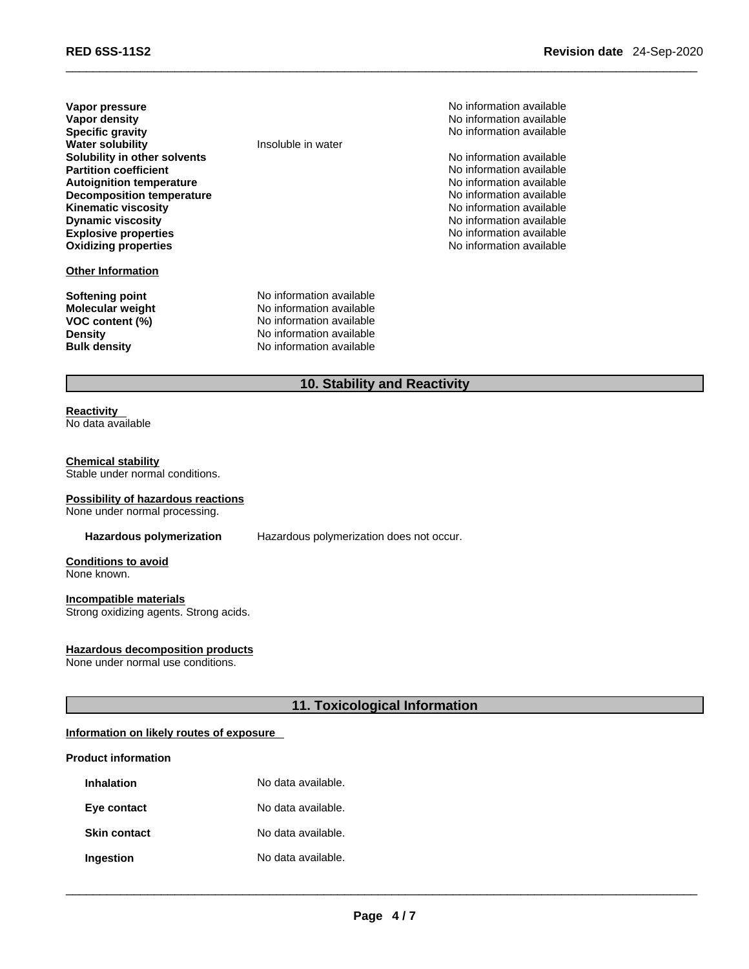| Vapor pressure                   |
|----------------------------------|
| Vapor density                    |
| <b>Specific gravity</b>          |
| <b>Water solubility</b>          |
| Solubility in other solvents     |
| <b>Partition coefficient</b>     |
| <b>Autoignition temperature</b>  |
| <b>Decomposition temperature</b> |
| <b>Kinematic viscosity</b>       |
| <b>Dynamic viscosity</b>         |
| <b>Explosive properties</b>      |
| <b>Oxidizing properties</b>      |
|                                  |

#### **Other Information**

**Softening point**<br> **Molecular weight**<br>
Molecular weight<br>
Molecular weight **Molecular weight**<br>VOC content (%) **Density Density No information available**<br> **Bulk density No information available** 

**Insoluble** in water

**VOC content (%)** No information available

**No information available** 

**No information available No information available Specific gravity** No information available

**Solubility in other solvents** No information available **No information available Autoignition temperature** No information available **No information available Kinematic viscosity** No information available **Dynamic viscosity** No information available **Explosive properties** No information available **No information available** 

### **10. Stability and Reactivity**

#### **Reactivity**  No data available

#### **Chemical stability**

Stable under normal conditions.

#### **Possibility of hazardous reactions**

None under normal processing.

**Hazardous polymerization** Hazardous polymerization does not occur.

**Conditions to avoid** None known.

#### **Incompatible materials**

Strong oxidizing agents. Strong acids.

#### **Hazardous decomposition products**

None under normal use conditions.

#### **11. Toxicological Information**

#### **Information on likely routes of exposure**

#### **Product information**

| <b>Inhalation</b>   | No data available. |
|---------------------|--------------------|
| Eye contact         | No data available. |
| <b>Skin contact</b> | No data available. |
| Ingestion           | No data available. |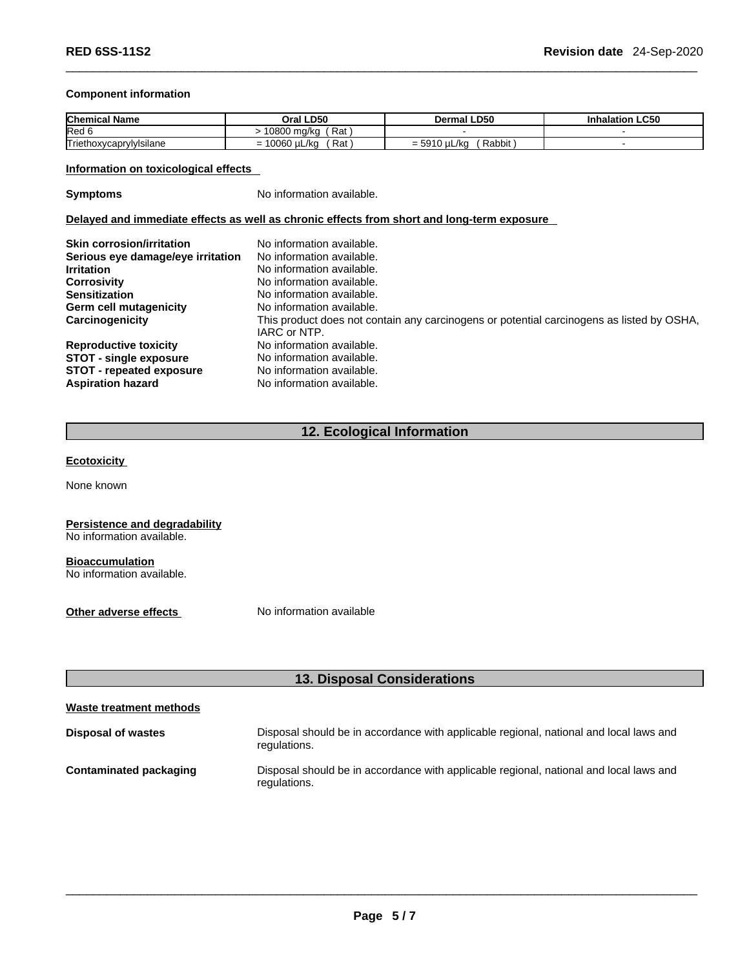#### **Component information**

| <b>Chemica</b><br>Name                    | LD50<br>Oral                                                  | al LD50<br>Dermal                                  | <b>Inhalation LC50</b> |
|-------------------------------------------|---------------------------------------------------------------|----------------------------------------------------|------------------------|
| Red o                                     | Rat<br>∩0∩∩<br>10800 ma/ka                                    |                                                    |                        |
| ⊢.<br>$\cdots$<br>Triethoxycaprylylsilane | Rat<br>0.000<br>uL/ka<br>$\overline{\phantom{0}}$<br>vov<br>- | Rabbit<br>EOMO<br>./ka<br>$= 5910$<br>. u∟.<br>. . |                        |

#### **Information on toxicological effects**

**Symptoms** No information available.

**Delayed and immediate effects as well as chronic effects from short and long-term exposure**

| <b>Skin corrosion/irritation</b>  | No information available.                                                                 |
|-----------------------------------|-------------------------------------------------------------------------------------------|
| Serious eye damage/eye irritation | No information available.                                                                 |
| <b>Irritation</b>                 | No information available.                                                                 |
| Corrosivity                       | No information available.                                                                 |
| <b>Sensitization</b>              | No information available.                                                                 |
| <b>Germ cell mutagenicity</b>     | No information available.                                                                 |
| Carcinogenicity                   | This product does not contain any carcinogens or potential carcinogens as listed by OSHA, |
|                                   | IARC or NTP.                                                                              |
| <b>Reproductive toxicity</b>      | No information available.                                                                 |
| <b>STOT - single exposure</b>     | No information available.                                                                 |
| <b>STOT</b> - repeated exposure   | No information available.                                                                 |
| <b>Aspiration hazard</b>          | No information available.                                                                 |

#### **12. Ecological Information**

#### **Ecotoxicity**

None known

# **Persistence and degradability**

No information available.

#### **Bioaccumulation**

No information available.

**Other adverse effects** No information available

# **13. Disposal Considerations**

# **Waste treatment methods Disposal of wastes** Disposal should be in accordance with applicable regional, national and local laws and regulations. **Contaminated packaging** Disposal should be in accordance with applicable regional, national and local laws and regulations.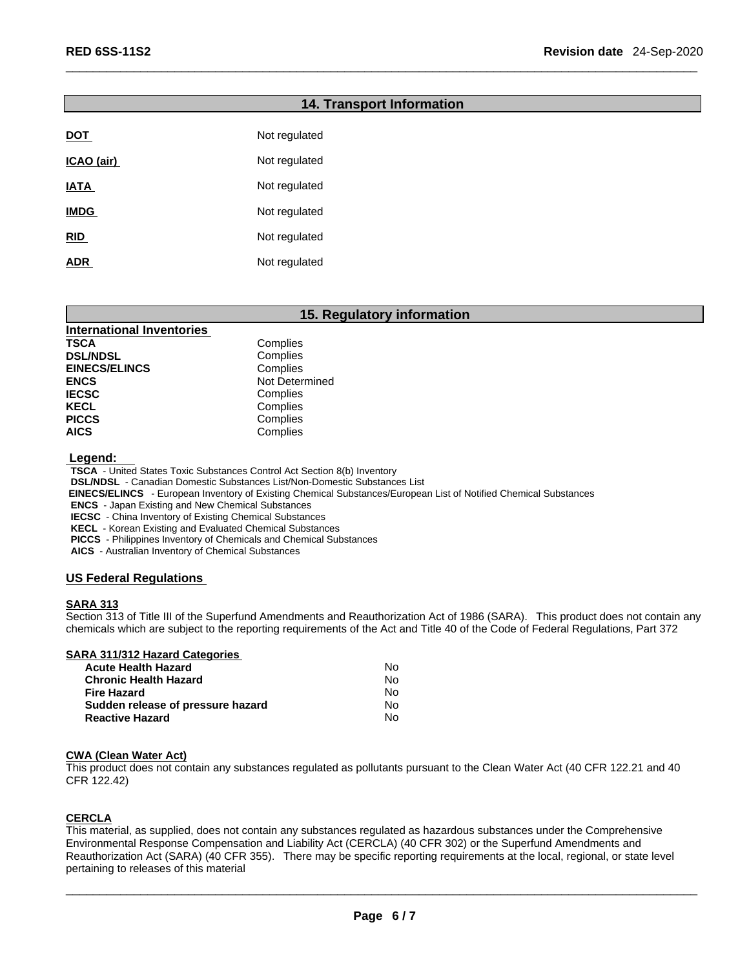### **14. Transport Information**

| <b>DOT</b>  | Not regulated |
|-------------|---------------|
| ICAO (air)  | Not regulated |
| <b>IATA</b> | Not regulated |
| <u>IMDG</u> | Not regulated |
| <b>RID</b>  | Not regulated |
| <b>ADR</b>  | Not regulated |

#### **15. Regulatory information**

| <b>International Inventories</b> |                |
|----------------------------------|----------------|
| TSCA                             | Complies       |
| <b>DSL/NDSL</b>                  | Complies       |
| <b>EINECS/ELINCS</b>             | Complies       |
| <b>ENCS</b>                      | Not Determined |
| <b>IECSC</b>                     | Complies       |
| KECL                             | Complies       |
| <b>PICCS</b>                     | Complies       |
| <b>AICS</b>                      | Complies       |

 **Legend:** 

**TSCA** - United States Toxic Substances Control Act Section 8(b) Inventory

**DSL/NDSL** - Canadian Domestic Substances List/Non-Domestic Substances List

 **EINECS/ELINCS** - European Inventory of Existing Chemical Substances/European List of Notified Chemical Substances

**ENCS** - Japan Existing and New Chemical Substances

**IECSC** - China Inventory of Existing Chemical Substances

**KECL** - Korean Existing and Evaluated Chemical Substances

**PICCS** - Philippines Inventory of Chemicals and Chemical Substances

**AICS** - Australian Inventory of Chemical Substances

#### **US Federal Regulations**

#### **SARA 313**

Section 313 of Title III of the Superfund Amendments and Reauthorization Act of 1986 (SARA). This product does not contain any chemicals which are subject to the reporting requirements of the Act and Title 40 of the Code of Federal Regulations, Part 372

#### **SARA 311/312 Hazard Categories**

| <b>Acute Health Hazard</b>        | N٥  |  |
|-----------------------------------|-----|--|
| <b>Chronic Health Hazard</b>      | N٥  |  |
| <b>Fire Hazard</b>                | Nο  |  |
| Sudden release of pressure hazard | No. |  |
| <b>Reactive Hazard</b>            | Nο  |  |

#### **CWA (Clean WaterAct)**

This product does not contain any substances regulated as pollutants pursuant to the Clean Water Act (40 CFR 122.21 and 40 CFR 122.42)

#### **CERCLA**

This material, as supplied, does not contain any substances regulated as hazardous substances under the Comprehensive Environmental Response Compensation and Liability Act (CERCLA) (40 CFR 302) or the Superfund Amendments and Reauthorization Act (SARA) (40 CFR 355). There may be specific reporting requirements at the local, regional, or state level pertaining to releases of this material